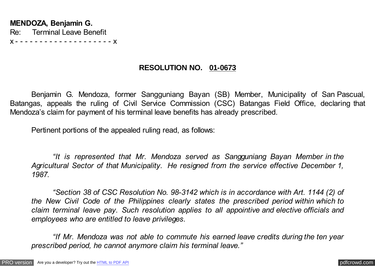## **RESOLUTION NO. 01-0673**

Benjamin G. Mendoza, former Sangguniang Bayan (SB) Member, Municipality of San Pascual, Batangas, appeals the ruling of Civil Service Commission (CSC) Batangas Field Office, declaring that Mendoza's claim for payment of his terminal leave benefits has already prescribed.

Pertinent portions of the appealed ruling read, as follows:

*"It is represented that Mr. Mendoza served as Sangguniang Bayan Member in the Agricultural Sector of that Municipality. He resigned from the service effective December 1, 1987.*

*"Section 38 of CSC Resolution No. 98-3142 which is in accordance with Art. 1144 (2) of the New Civil Code of the Philippines clearly states the prescribed period within which to claim terminal leave pay. Such resolution applies to all appointive and elective officials and employees who are entitled to leave privileges.*

*"If Mr. Mendoza was not able to commute his earned leave credits during the ten year prescribed period, he cannot anymore claim his terminal leave."*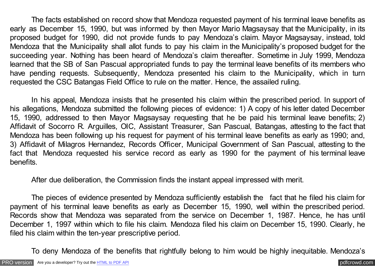The facts established on record show that Mendoza requested payment of his terminal leave benefits as early as December 15, 1990, but was informed by then Mayor Mario Magsaysay that the Municipality, in its proposed budget for 1990, did not provide funds to pay Mendoza's claim. Mayor Magsaysay, instead, told Mendoza that the Municipality shall allot funds to pay his claim in the Municipality's proposed budget for the succeeding year. Nothing has been heard of Mendoza's claim thereafter. Sometime in July 1999, Mendoza learned that the SB of San Pascual appropriated funds to pay the terminal leave benefits of its members who have pending requests. Subsequently, Mendoza presented his claim to the Municipality, which in turn requested the CSC Batangas Field Office to rule on the matter. Hence, the assailed ruling.

In his appeal, Mendoza insists that he presented his claim within the prescribed period. In support of his allegations, Mendoza submitted the following pieces of evidence: 1) A copy of his letter dated December 15, 1990, addressed to then Mayor Magsaysay requesting that he be paid his terminal leave benefits; 2) Affidavit of Socorro R. Arguilles, OIC, Assistant Treasurer, San Pascual, Batangas, attesting to the fact that Mendoza has been following up his request for payment of his terminal leave benefits as early as 1990; and, 3) Affidavit of Milagros Hernandez, Records Officer, Municipal Government of San Pascual, attesting to the fact that Mendoza requested his service record as early as 1990 for the payment of his terminal leave benefits.

After due deliberation, the Commission finds the instant appeal impressed with merit.

The pieces of evidence presented by Mendoza sufficiently establish the fact that he filed his claim for payment of his terminal leave benefits as early as December 15, 1990, well within the prescribed period. Records show that Mendoza was separated from the service on December 1, 1987. Hence, he has until December 1, 1997 within which to file his claim. Mendoza filed his claim on December 15, 1990. Clearly, he filed his claim within the ten-year prescriptive period.

To deny Mendoza of the benefits that rightfully belong to him would be highly inequitable. Mendoza's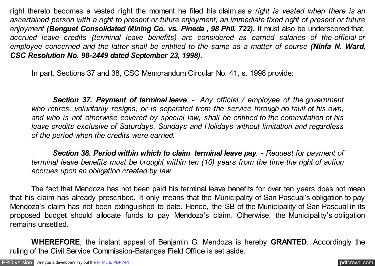right thereto becomes a vested right the moment he filed his claim as *a right is vested when there is an ascertained person with a right to present or future enjoyment, an immediate fixed right of present or future enjoyment (Benguet Consolidated Mining Co. vs. Pineda , 98 Phil. 722).* It must also be underscored that, *accrued leave credits (terminal leave benefits) are considered as earned salaries of the official or employee concerned and the latter shall be entitled to the same as a matter of course (Ninfa N. Ward, CSC Resolution No. 98-2449 dated September 23, 1998).*

In part, Sections 37 and 38, CSC Memorandum Circular No. 41, s. 1998 provide:

*Section 37. Payment of terminal leave. - Any official / employee of the government who retires, voluntarily resigns, or is separated from the service through no fault of his own, and who is not otherwise covered by special law, shall be entitled to the commutation of his leave credits exclusive of Saturdays, Sundays and Holidays without limitation and regardless of the period when the credits were earned.*

*Section 38. Period within which to claim terminal leave pay. - Request for payment of terminal leave benefits must be brought within ten (10) years from the time the right of action accrues upon an obligation created by law.*

The fact that Mendoza has not been paid his terminal leave benefits for over ten years does not mean that his claim has already prescribed. It only means that the Municipality of San Pascual's obligation to pay Mendoza's claim has not been extinguished to date. Hence, the SB of the Municipality of San Pascual in its proposed budget should allocate funds to pay Mendoza's claim. Otherwise, the Municipality's obligation remains unsettled.

**WHEREFORE**, the instant appeal of Benjamin G. Mendoza is hereby **GRANTED**. Accordingly the ruling of the Civil Service Commission-Batangas Field Office is set aside.